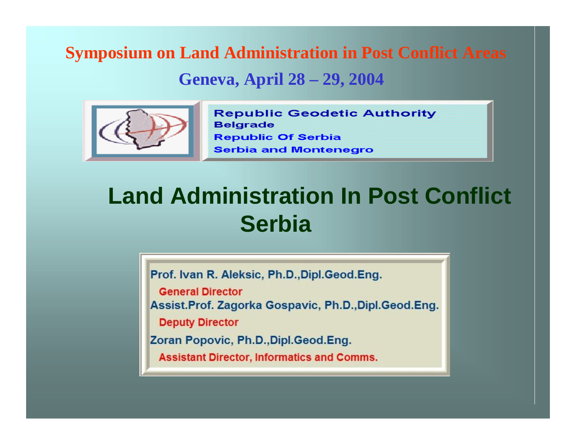## **Symposium on Land Administration in Post Conflict Areas**

### **Geneva, April 28 – 29, 2004**



**Republic Geodetic Authority Belgrade Republic Of Serbia Serbia and Montenegro** 

# **Land Administration In Post Conflict Serbia**

Prof. Ivan R. Aleksic, Ph.D., Dipl. Geod. Eng.

**General Director** 

Assist.Prof. Zagorka Gospavic, Ph.D.,Dipl.Geod.Eng.

**Deputy Director** 

Zoran Popovic, Ph.D., Dipl.Geod.Eng.

**Assistant Director, Informatics and Comms.**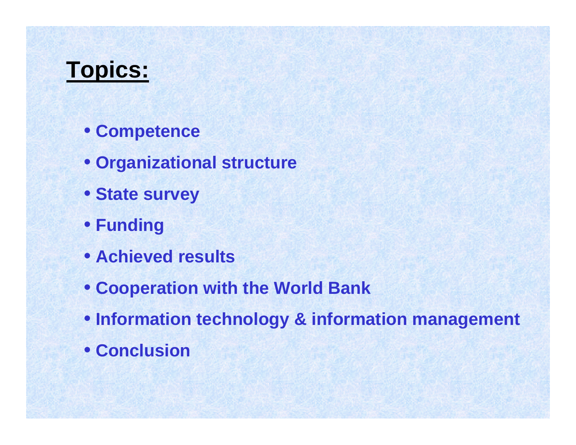# **Topics:**

- **Competence**
- **Organizational structure**
- **State survey**
- **Funding**
- **Achieved results**
- **Cooperation with the World Bank**
- **Information technology & information management**
- **Conclusion**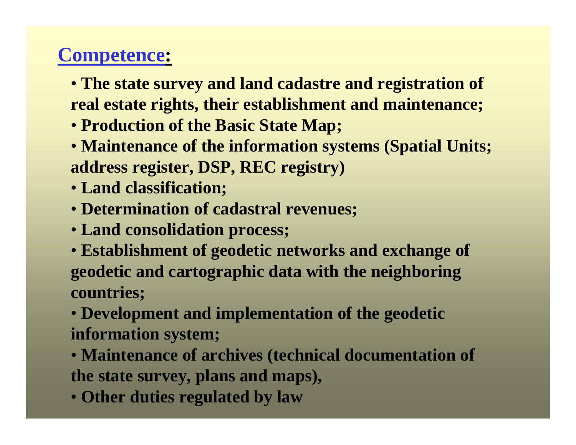## **Competence:**

• **The state survey and land cadastre and registration of real estate rights, their establishment and maintenance;**

- **Production of the Basic State Map;**
- **Maintenance of the information systems (Spatial Units; address register, DSP, REC registry)**
- **Land classification;**
- **Determination of cadastral revenues;**
- **Land consolidation process;**
- **Establishment of geodetic networks and exchange of geodetic and cartographic data with the neighboring countries;**
- **Development and implementation of the geodetic information system;**
- **Maintenance of archives (technical documentation of the state survey, plans and maps),**
- **Other duties regulated by law**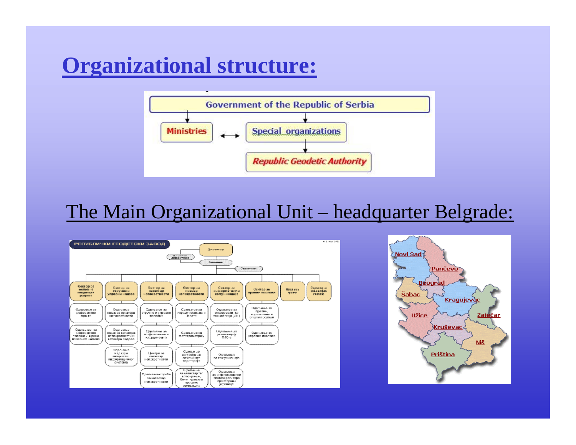# **Organizational structure:**



## The Main Organizational Unit – headquarter Belgrade:



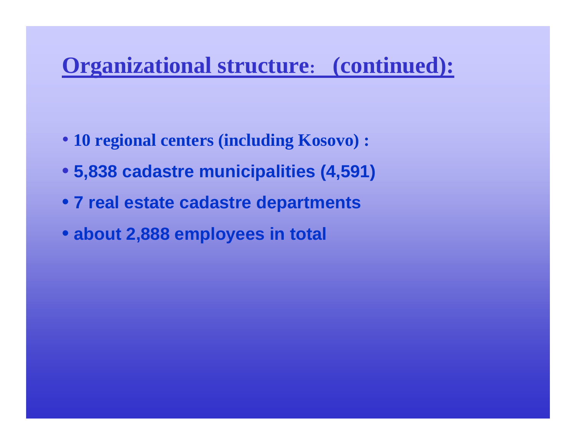# **Organizational structure: (continued):**

- **10 regional centers (including Kosovo) :**
- **5,838 cadastre municipalities (4,591)**
- **7 real estate cadastre departments**
- **about 2,888 employees in total**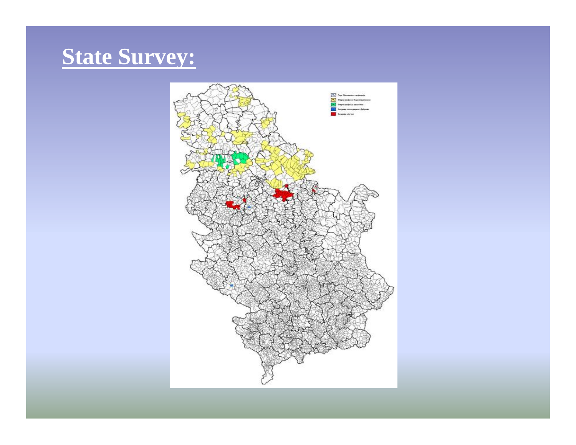# **State Survey:**

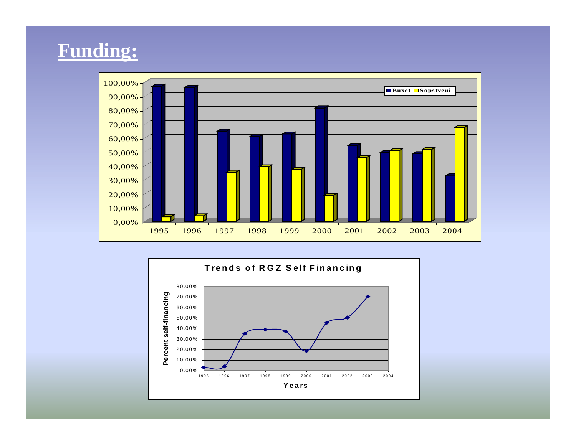## **Funding:**



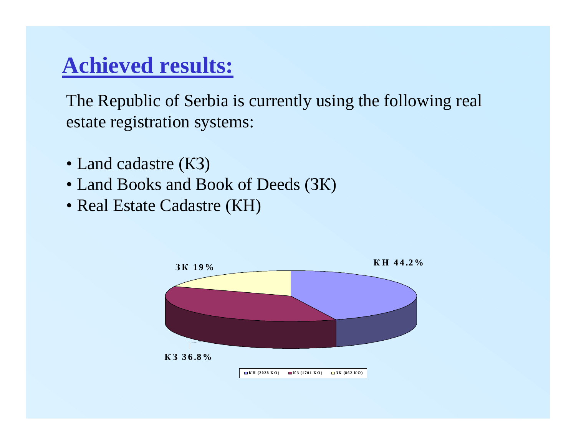# **Achieved results:**

The Republic of Serbia is currently using the following real estate registration systems:

- Land cadastre (K3)
- Land Books and Book of Deeds (3K)
- Real Estate Cadastre (KH)

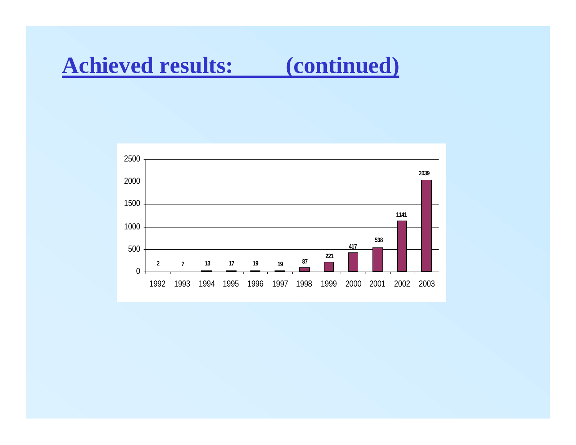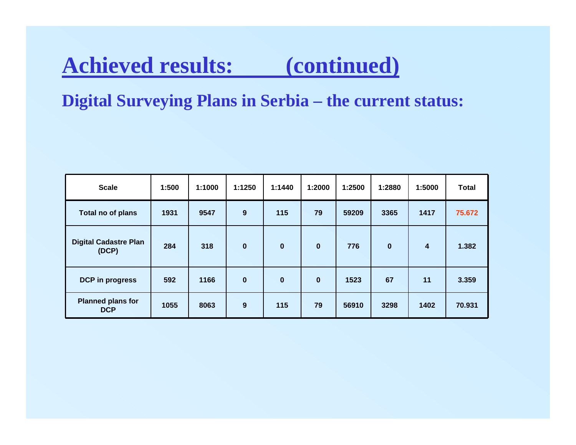### **Digital Surveying Plans in Serbia – the current status:**

| <b>Scale</b>                           | 1:500 | 1:1000 | 1:1250      | 1:1440   | 1:2000      | 1:2500 | 1:2880      | 1:5000                  | <b>Total</b> |
|----------------------------------------|-------|--------|-------------|----------|-------------|--------|-------------|-------------------------|--------------|
| Total no of plans                      | 1931  | 9547   | 9           | 115      | 79          | 59209  | 3365        | 1417                    | 75.672       |
| <b>Digital Cadastre Plan</b><br>(DCP)  | 284   | 318    | $\bf{0}$    | $\bf{0}$ | $\mathbf 0$ | 776    | $\mathbf 0$ | $\overline{\mathbf{4}}$ | 1.382        |
| <b>DCP</b> in progress                 | 592   | 1166   | $\mathbf 0$ | $\bf{0}$ | $\mathbf 0$ | 1523   | 67          | 11                      | 3.359        |
| <b>Planned plans for</b><br><b>DCP</b> | 1055  | 8063   | 9           | 115      | 79          | 56910  | 3298        | 1402                    | 70.931       |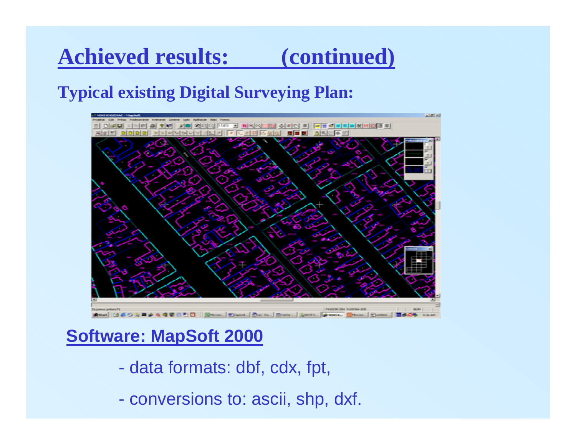## **Typical existing Digital Surveying Plan:**



## **Software: MapSoft 2000**

- data formats: dbf, cdx, fpt,
- conversions to: ascii, shp, dxf.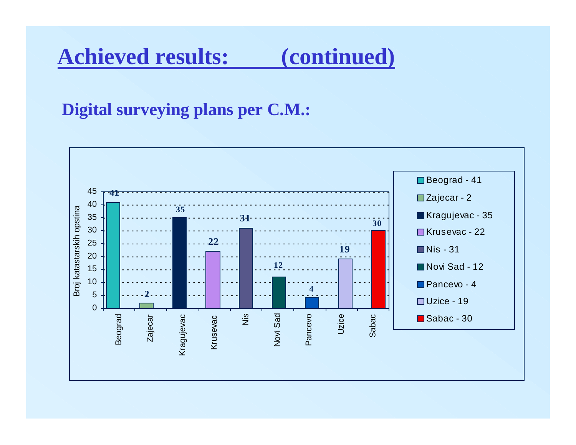### **Digital surveying plans per C.M.:**

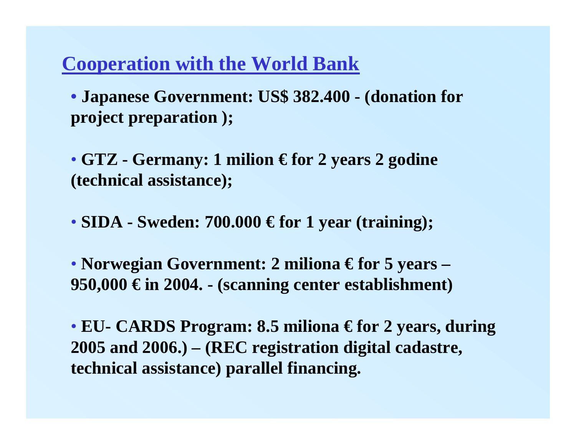### **Cooperation with the World Bank**

• **Japanese Government: US\$ 382.400 - (donation for project preparation );** 

• **GTZ - Germany: 1 milion € for 2 years 2 godine (technical assistance);**

• **SIDA - Sweden: 700.000 € for 1 year (training);**

• **Norwegian Government: 2 miliona € for 5 years – 950,000 € in 2004. - (scanning center establishment)** 

• **EU- CARDS Program: 8.5 miliona € for 2 years, during 2005 and 2006.) – (REC registration digital cadastre, technical assistance) parallel financing.**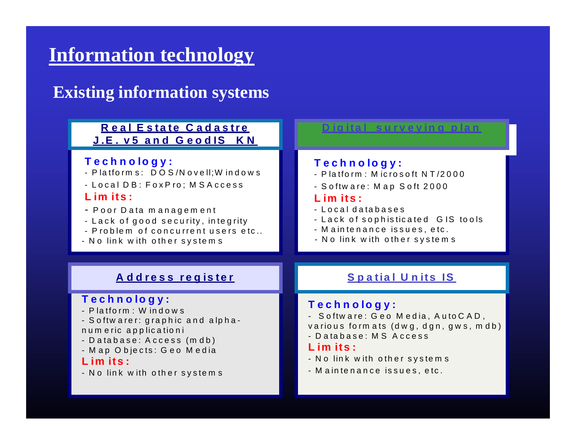## **Information technology**

### **Existing information systems**

### **R e a l E s ta te C a d a s tr e J .E . v 5 a n d G e o d IS \_ K N**

#### **T e c h n o lo g y :**

- Platform s:  $DOS/N$  ovell: Windows
- Local DB: FoxPro; MSAccess **L im its :**
- Poor Data management
- Lack of good security, integrity
- P roblem of concurrent users etc..
- No link with other systems

### **D ig ita l s u r v e y in g p la n**

### **T e c h n o lo g y :**

- P la tfo rm : M ic ro s o ft N T /2000
- S o ftw a re : M a p S o ft 2000

#### **L im its :**

- L o c a l d a taba s e s
- Lack of sophisticated GIS tools
- Maintenance issues, etc.
- No link with other systems

### **A d d r e s s r e g is te r**

#### **T e c h n o lo g y :**

- P la tfo rm : W indo w s
- S o ftw a re r: g raph ic and a lphan u m e ric app lic a tioni
- Database: Access (mdb)
- Map Objects: Geo Media

#### **L im its :**

- No link with other systems

### **S p a tia l U n its IS**

### **T e c h n o lo g y :**

- Software: Geo Media, AutoCAD,
- various form ats (dwg, dgn, gws, mdb)
- Database: MS Access

#### **L im its :**

- No link with other systems
- Maintenance issues, etc.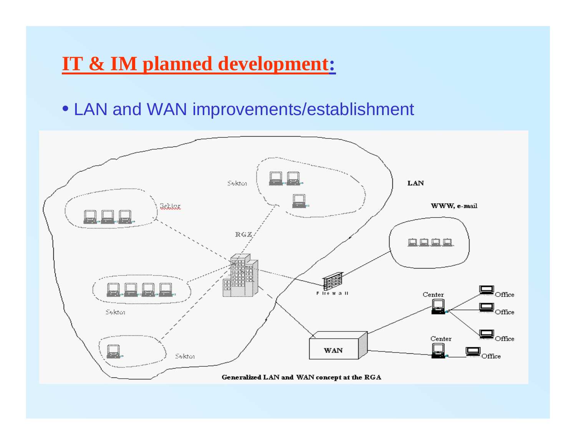## **IT & IM planned development:**

• LAN and WAN improvements/establishment

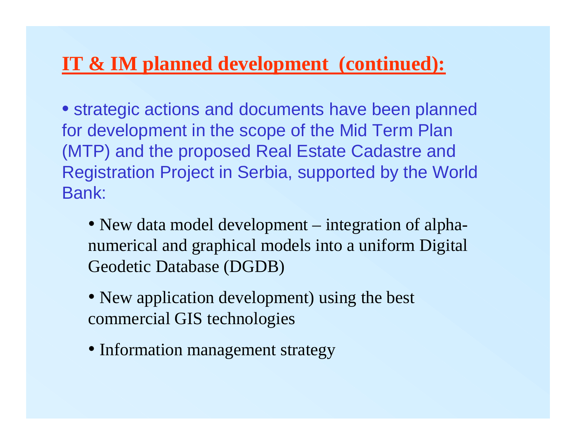## **IT & IM planned development (continued):**

• strategic actions and documents have been planned for development in the scope of the Mid Term Plan (MTP) and the proposed Real Estate Cadastre and Registration Project in Serbia, supported by the World Bank:

- New data model development integration of alphanumerical and graphical models into a uniform Digital Geodetic Database (DGDB)
- New application development) using the best commercial GIS technologies
- Information management strategy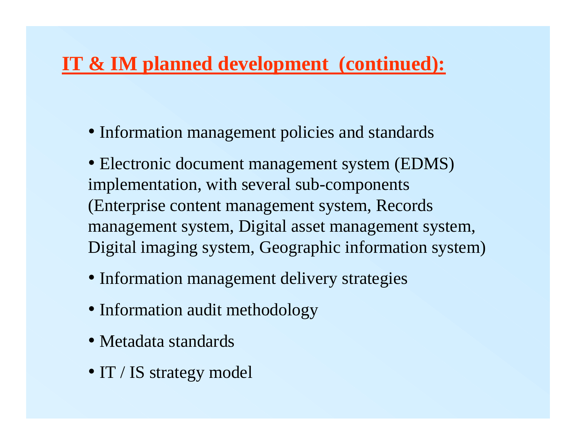## **IT & IM planned development (continued):**

• Information management policies and standards

• Electronic document management system (EDMS) implementation, with several sub-components (Enterprise content management system, Records management system, Digital asset management system, Digital imaging system, Geographic information system)

- Information management delivery strategies
- Information audit methodology
- Metadata standards
- IT / IS strategy model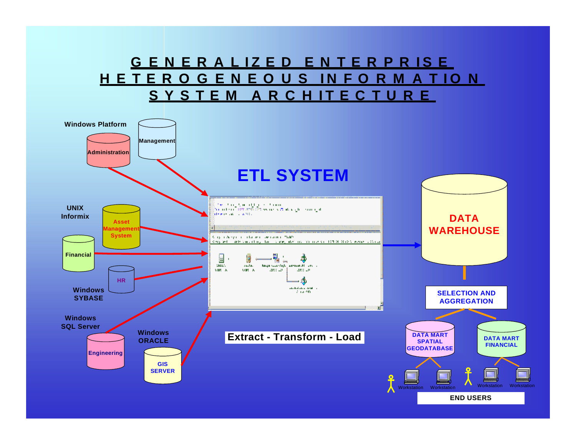### **G E N E R A L I Z E D E N T E R P R I S E H E T E R O G E N E O U S I N F O R M A T I O N S Y S T E M A R C H I T E C T URE**

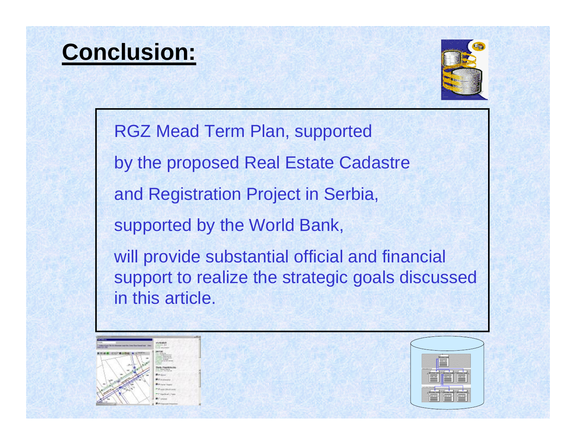# **Conclusion:**



RGZ Mead Term Plan, supported by the proposed Real Estate Cadastre and Registration Project in Serbia, supported by the World Bank, will provide substantial official and financial support to realize the strategic goals discussed in this article.